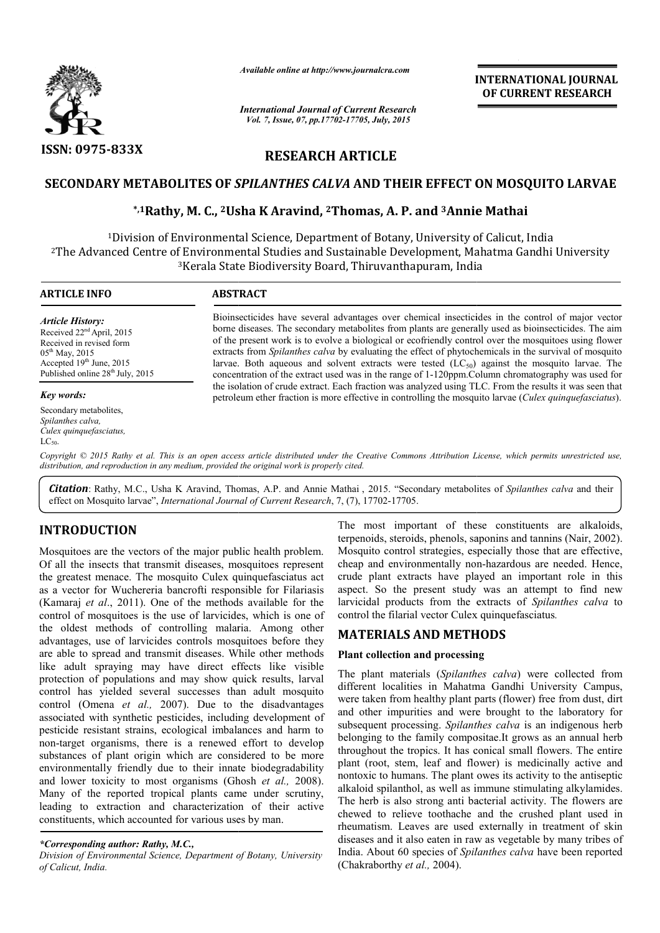

*Available online at http://www.journalcra.com*

*International Journal of Current Research Vol. 7, Issue, 07, pp.17702-17705, July, 2015*

**INTERNATIONAL INTERNATIONAL JOURNAL OF CURRENT RESEARCH** 

## **RESEARCH ARTICLE**

# SECONDARY METABOLITES OF *SPILANTHES CALVA* AND THEIR EFFECT ON MOSQUITO LARVAE<br>in the mathai with and the book of the and annie Mathai with the mathai with a book of the and the mathai with t

## **\*,1Rathy, M. C., 2Usha K Aravind, Usha 2Thomas, A. P. and 3Annie Mathai**

<sup>1</sup>Division of Environmental Science, Department of Botany, University of Calicut, India <sup>2</sup>The Advanced Centre of Environmental Studies and Sustainable Development, Mahatma Gandhi University<br><sup>3</sup>Kerala State Biodiversity Board, Thiruvanthapuram, India 3Kerala State Biodi Kerala Biodiversity Board, Thiruvanthapuram, India

#### **ARTICLE INFO ABSTRACT** Bioinsecticides have several advantages over chemical insecticides in the control of major vector Bioinsecticides have several advantages over chemical insecticides in the control of major vector borne diseases. The secondary metabolites from plants are generally used as bioinsecticides. The aim of the present work is to evolve a biological or ecofriendly control over the mosquitoes using flower of the present work is to evolve a biological or ecofriendly control over the mosquitoes using flower extracts from *Spilanthes calva* by evaluating the effect of phytochemicals in the survival of mosquito larvae. Both aqueous and solvent extracts were tested  $(LC<sub>50</sub>)$  against the mosquito larvae. The concentration of the extract used was in the range of 1 1-120ppm.Column chromatography was used for the isolation of crude extract. Each fraction was analyzed using TLC. From the results it was seen that petroleum ether fraction is more effective in controlling the mosquito larvae ( *Culex quinquefasciatus*). *Article History:* Received 22nd April, 2015 Received in revised form  $05^{\text{th}}$  May, 2015 Accepted  $19<sup>th</sup>$  June, 2015 Published online 28<sup>th</sup> July, 2015 *Key words:* Secondary metabolites, *Spilanthes calva, Culex quinquefasciatus,*   $LC_{50}$ 1 In extracts were tested  $(LC_{50})$  against the mosquito larvae.<br>was in the range of 1-120ppm.Column chromatography was use<br>h fraction was analyzed using TLC. From the results it was seen

Copyright © 2015 Rathy et al. This is an open access article distributed under the Creative Commons Attribution License, which permits unrestricted use, *distribution, and reproduction in any medium, provided the original work is properly cited.*

Citation: Rathy, M.C., Usha K Aravind, Thomas, A.P. and Annie Mathai, 2015. "Secondary metabolites of Spilanthes calva and their effect on Mosquito larvae", *International Journal of Current Research*, 7, (7), 17702-17705.

## **INTRODUCTION**

Mosquitoes are the vectors of the major public health problem. Of all the insects that transmit diseases, mosquitoes represent the greatest menace. The mosquito Culex quinquefasciatus act as a vector for Wuchereria bancrofti responsible for Filariasis (Kamaraj *et al*., 2011). One of the methods available for the control of mosquitoes is the use of larvicides, which is one of the oldest methods of controlling malaria. Among other advantages, use of larvicides controls mosquitoes before they are able to spread and transmit diseases. While other methods like adult spraying may have direct effects like visible protection of populations and may show quick results, larval control has yielded several successes than adult mosquito control (Omena *et al.,* 2007). Due to the disadvantages associated with synthetic pesticides, including development of pesticide resistant strains, ecological imbalances and harm to non-target organisms, there is a renewed effort to develop substances of plant origin which are considered to be more environmentally friendly due to their innate biodegradability non-target organisms, there is a renewed effort to develop substances of plant origin which are considered to be more environmentally friendly due to their innate biodegradability and lower toxicity to most organisms (Ghos Many of the reported tropical plants came under scrutiny, leading to extraction and characterization of their active constituents, which accounted for various uses by man. ). One of the methods available for the<br>is the use of larvicides, which is one of<br>of controlling malaria. Among other<br>vicides controls mosquitoes before they<br>l transmit diseases. While other methods<br>may have direct effects **N** The most important of these constituents are latkaloids,<br>terroric served s, phenols, saponins and tannins (Nair, 2002),<br>vectors of the major public health problem. Mosquito control strategies, especially those that ar

terpenoids, steroids, phenols, saponins and tannins (Nair, 2002). Mosquito control strategies, especially those that are effective, Mosquito control strategies, especially those that are effective, cheap and environmentally non-hazardous are needed. Hence, crude plant extracts have played an important role in this aspect. So the present study was an attempt to find new crude plant extracts have played an important role in this aspect. So the present study was an attempt to find new larvicidal products from the extracts of *Spilanthes calva* to control the filarial vector Culex quinquefasciatus *.*

## **MATERIALS AND METHODS**

#### **Plant collection and processing**

The plant materials (Spilanthes calva) were collected from different localities in Mahatma Gandhi University Campus, were taken from healthy plant parts (flower) free from dust, dirt and other impurities and were brought to the laboratory for subsequent processing. *Spilanthes calva* is an indigenous herb belonging to the family compositae.It grows as an annual herb throughout the tropics. It has conical small flowers. The entire belonging to the family compositae.It grows as an annual herb throughout the tropics. It has conical small flowers. The entire plant (root, stem, leaf and flower) is medicinally active and nontoxic to humans. The plant owes its activity to the antiseptic nontoxic to humans. The plant owes its activity to the antiseptic<br>alkaloid spilanthol, as well as immune stimulating alkylamides. The herb is also strong anti bacterial activity. The flowers are The herb is also strong anti bacterial activity. The flowers are chewed to relieve toothache and the crushed plant used in rheumatism. Leaves are used externally in treatment of skin diseases and it also eaten in raw as vegetable by many tribes of India. About 60 species of *Spilanthes calva* have been reported (Chakraborthy *et al.,* 2004). localities in Mahatma Gandhi University Campus,<br>n from healthy plant parts (flower) free from dust, dirt<br>impurities and were brought to the laboratory for

*<sup>\*</sup>Corresponding author: Rathy, M.C.,*

*Division of Environmental Science, Department of Botany, University of Calicut, India.*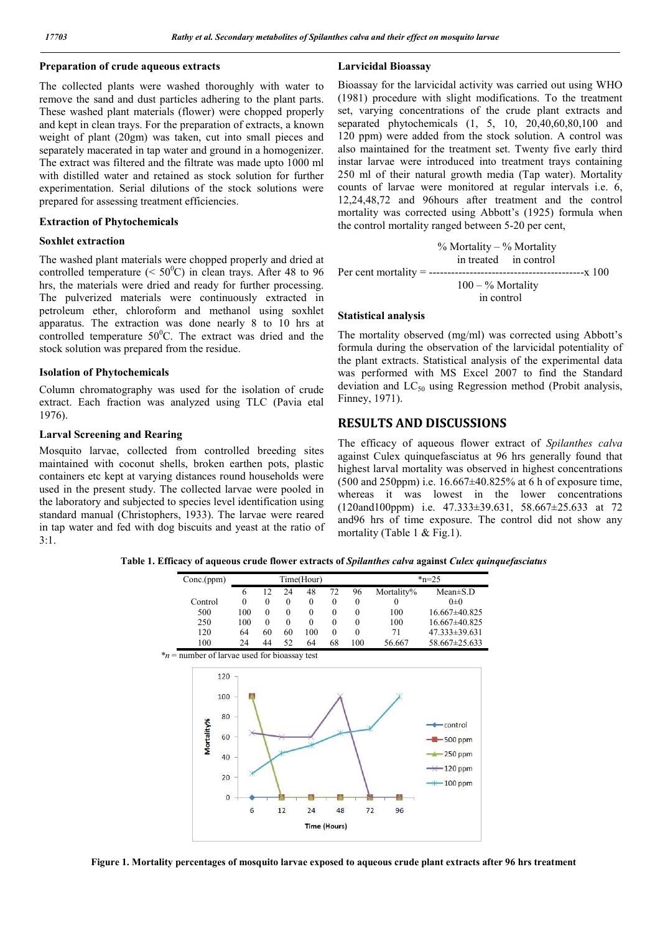#### **Preparation of crude aqueous extracts**

The collected plants were washed thoroughly with water to remove the sand and dust particles adhering to the plant parts. These washed plant materials (flower) were chopped properly and kept in clean trays. For the preparation of extracts, a known weight of plant (20gm) was taken, cut into small pieces and separately macerated in tap water and ground in a homogenizer. The extract was filtered and the filtrate was made upto 1000 ml with distilled water and retained as stock solution for further experimentation. Serial dilutions of the stock solutions were prepared for assessing treatment efficiencies.

#### **Extraction of Phytochemicals**

#### **Soxhlet extraction**

The washed plant materials were chopped properly and dried at controlled temperature ( $\leq 50^{\circ}$ C) in clean trays. After 48 to 96 hrs, the materials were dried and ready for further processing. The pulverized materials were continuously extracted in petroleum ether, chloroform and methanol using soxhlet apparatus. The extraction was done nearly 8 to 10 hrs at controlled temperature  $50^0$ C. The extract was dried and the stock solution was prepared from the residue.

#### **Isolation of Phytochemicals**

Column chromatography was used for the isolation of crude extract. Each fraction was analyzed using TLC (Pavia etal 1976).

#### **Larval Screening and Rearing**

Mosquito larvae, collected from controlled breeding sites maintained with coconut shells, broken earthen pots, plastic containers etc kept at varying distances round households were used in the present study. The collected larvae were pooled in the laboratory and subjected to species level identification using standard manual (Christophers, 1933). The larvae were reared in tap water and fed with dog biscuits and yeast at the ratio of  $3:1.$ 

#### **Larvicidal Bioassay**

Bioassay for the larvicidal activity was carried out using WHO (1981) procedure with slight modifications. To the treatment set, varying concentrations of the crude plant extracts and separated phytochemicals (1, 5, 10, 20,40,60,80,100 and 120 ppm) were added from the stock solution. A control was also maintained for the treatment set. Twenty five early third instar larvae were introduced into treatment trays containing 250 ml of their natural growth media (Tap water). Mortality counts of larvae were monitored at regular intervals i.e. 6, 12,24,48,72 and 96hours after treatment and the control mortality was corrected using Abbott's (1925) formula when the control mortality ranged between 5-20 per cent,

$$
\% \text{ Mortality} - \% \text{ Mortality} \n\text{in treated} \quad \text{in control} \n\text{Per cent mortality} = \frac{100 - \% \text{ Mortality}}{100 - \% \text{ Mortality}} \times 100
$$

#### **Statistical analysis**

The mortality observed (mg/ml) was corrected using Abbott's formula during the observation of the larvicidal potentiality of the plant extracts. Statistical analysis of the experimental data was performed with MS Excel 2007 to find the Standard deviation and  $LC_{50}$  using Regression method (Probit analysis, Finney, 1971).

## **RESULTS AND DISCUSSIONS**

The efficacy of aqueous flower extract of *Spilanthes calva* against Culex quinquefasciatus at 96 hrs generally found that highest larval mortality was observed in highest concentrations  $(500 \text{ and } 250 \text{ ppm})$  i.e.  $16.667 \pm 40.825\%$  at 6 h of exposure time. whereas it was lowest in the lower concentrations (120and100ppm) i.e. 47.333±39.631, 58.667±25.633 at 72 and96 hrs of time exposure. The control did not show any mortality (Table 1 & Fig.1).

**Table 1. Efficacy of aqueous crude flower extracts of** *Spilanthes calva* **against** *Culex quinquefasciatus*

| Conc.(ppm)                                      |                 |                  |                  | Time(Hour)       |                  |                  |                  | $*_{n=25}$                                                                                               |
|-------------------------------------------------|-----------------|------------------|------------------|------------------|------------------|------------------|------------------|----------------------------------------------------------------------------------------------------------|
|                                                 | 6               | 12               | 24               | 48               | $72\,$           | 96               | Mortality%       | Mean±S.D                                                                                                 |
| Control                                         | $\theta$        | $\boldsymbol{0}$ | $\boldsymbol{0}$ | $\boldsymbol{0}$ | $\boldsymbol{0}$ | $\boldsymbol{0}$ | $\boldsymbol{0}$ | $0\pm 0$                                                                                                 |
| 500                                             | 100             | $\boldsymbol{0}$ | $\boldsymbol{0}$ | $\boldsymbol{0}$ | $\boldsymbol{0}$ | $\boldsymbol{0}$ | 100              | 16.667±40.825                                                                                            |
| 250                                             | 100             | $\mathbf{0}$     | $\boldsymbol{0}$ | $\boldsymbol{0}$ | $\boldsymbol{0}$ | $\boldsymbol{0}$ | 100              | 16.667±40.825                                                                                            |
| 120                                             | 64              | 60               | 60               | 100              | $\boldsymbol{0}$ | $\mathbf{0}$     | 71               | 47.333±39.631                                                                                            |
| 100                                             | 24              | 44               | 52               | 64               | 68               | 100              | 56.667           | 58.667±25.633                                                                                            |
| $*_n$ = number of larvae used for bioassay test |                 |                  |                  |                  |                  |                  |                  |                                                                                                          |
| $120 -$<br>100<br>80                            |                 |                  |                  |                  |                  |                  |                  |                                                                                                          |
| Mortality%<br>60<br>40<br>20<br>$\bf{0}$        | $6\phantom{1}6$ |                  | 12               | 24               | 48               | 72               | 96               | $\rightarrow$ control<br>$-4 - 500$ ppm<br>$\frac{1}{2}$ 250 ppm<br>$\rightarrow$ 120 ppm<br>$-$ 100 ppm |

**Figure 1. Mortality percentages of mosquito larvae exposed to aqueous crude plant extracts after 96 hrs treatment**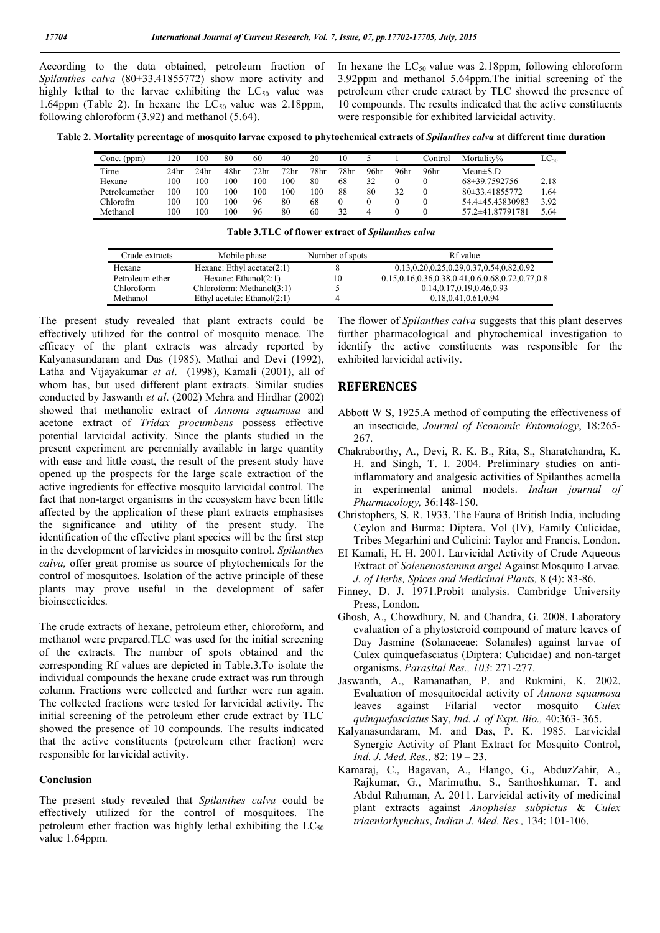According to the data obtained, petroleum fraction of *Spilanthes calva* (80±33.41855772) show more activity and highly lethal to the larvae exhibiting the  $LC_{50}$  value was 1.64ppm (Table 2). In hexane the  $LC_{50}$  value was 2.18ppm, following chloroform (3.92) and methanol (5.64).

In hexane the  $LC_{50}$  value was 2.18ppm, following chloroform 3.92ppm and methanol 5.64ppm.The initial screening of the petroleum ether crude extract by TLC showed the presence of 10 compounds. The results indicated that the active constituents were responsible for exhibited larvicidal activity.

**Table 2. Mortality percentage of mosquito larvae exposed to phytochemical extracts of** *Spilanthes calva* **at different time duration**

| Conc. (ppm)    | 120              | .00  | 80   | 60               | 40   | 20               | 10   |      |      | .`ontrol | Mortality%       | $LC_{50}$ |
|----------------|------------------|------|------|------------------|------|------------------|------|------|------|----------|------------------|-----------|
| Time           | 24 <sub>hr</sub> | 24hr | 48hr | 72 <sub>hr</sub> | 72hr | 78 <sub>hr</sub> | 78hr | 96hr | 96hr | 96hr     | Mean $\pm$ S.D   |           |
| Hexane         | 100              | 00   | 100  | 100              | 100  | 80               | 68   | 32   |      |          | 68±39.7592756    | 2.18      |
| Petroleumether | 100              | 100  | 100  | 100              | 100  | $\overline{00}$  | 88   | 80   | 32   | $\Omega$ | 80 ± 33.41855772 | 1.64      |
| Chlorofm       | 100              | 00   | 100  | 96               | 80   | 68               |      |      |      |          | 54.4±45.43830983 | 3.92      |
| Methanol       | 100              | 00   | 100  | 96               | 80   | 60               | 32   |      |      |          | 57.2±41.87791781 | 5.64      |

| Crude extracts  | Mobile phase                   | Number of spots | Rf value                                        |
|-----------------|--------------------------------|-----------------|-------------------------------------------------|
| Hexane          | Hexane: Ethyl acetate $(2:1)$  |                 | 0.13, 0.20, 0.25, 0.29, 0.37, 0.54, 0.82, 0.92  |
| Petroleum ether | Hexane: $Ethanol(2:1)$         | 10              | 0.15,0.16,0.36,0.38,0.41,0.6,0.68,0.72,0.77,0.8 |
| Chloroform      | Chloroform: Methanol(3:1)      |                 | 0.14, 0.17, 0.19, 0.46, 0.93                    |
| Methanol        | Ethyl acetate: Ethanol $(2:1)$ | 4               | 0.18.0.41.0.61.0.94                             |

**Table 3.TLC of flower extract of** *Spilanthes calva*

The present study revealed that plant extracts could be effectively utilized for the control of mosquito menace. The efficacy of the plant extracts was already reported by Kalyanasundaram and Das (1985), Mathai and Devi (1992), Latha and Vijayakumar *et al*. (1998), Kamali (2001), all of whom has, but used different plant extracts. Similar studies conducted by Jaswanth *et al*. (2002) Mehra and Hirdhar (2002) showed that methanolic extract of *Annona squamosa* and acetone extract of *Tridax procumbens* possess effective potential larvicidal activity. Since the plants studied in the present experiment are perennially available in large quantity with ease and little coast, the result of the present study have opened up the prospects for the large scale extraction of the active ingredients for effective mosquito larvicidal control. The fact that non-target organisms in the ecosystem have been little affected by the application of these plant extracts emphasises the significance and utility of the present study. The identification of the effective plant species will be the first step in the development of larvicides in mosquito control. *Spilanthes calva,* offer great promise as source of phytochemicals for the control of mosquitoes. Isolation of the active principle of these plants may prove useful in the development of safer bioinsecticides.

The crude extracts of hexane, petroleum ether, chloroform, and methanol were prepared.TLC was used for the initial screening of the extracts. The number of spots obtained and the corresponding Rf values are depicted in Table.3.To isolate the individual compounds the hexane crude extract was run through column. Fractions were collected and further were run again. The collected fractions were tested for larvicidal activity. The initial screening of the petroleum ether crude extract by TLC showed the presence of 10 compounds. The results indicated that the active constituents (petroleum ether fraction) were responsible for larvicidal activity.

### **Conclusion**

The present study revealed that *Spilanthes calva* could be effectively utilized for the control of mosquitoes. The petroleum ether fraction was highly lethal exhibiting the  $LC_{50}$ value 1.64ppm.

The flower of *Spilanthes calva* suggests that this plant deserves further pharmacological and phytochemical investigation to identify the active constituents was responsible for the exhibited larvicidal activity.

## **REFERENCES**

- Abbott W S, 1925.A method of computing the effectiveness of an insecticide, *Journal of Economic Entomology*, 18:265- 267.
- Chakraborthy, A., Devi, R. K. B., Rita, S., Sharatchandra, K. H. and Singh, T. I. 2004. Preliminary studies on antiinflammatory and analgesic activities of Spilanthes acmella in experimental animal models. *Indian journal of Pharmacology,* 36:148-150.
- Christophers, S. R. 1933. The Fauna of British India, including Ceylon and Burma: Diptera. Vol (IV), Family Culicidae, Tribes Megarhini and Culicini: Taylor and Francis, London.
- EI Kamali, H. H. 2001. Larvicidal Activity of Crude Aqueous Extract of *Solenenostemma argel* Against Mosquito Larvae*. J. of Herbs, Spices and Medicinal Plants,* 8 (4): 83-86.
- Finney, D. J. 1971.Probit analysis. Cambridge University Press, London.
- Ghosh, A., Chowdhury, N. and Chandra, G. 2008. Laboratory evaluation of a phytosteroid compound of mature leaves of Day Jasmine (Solanaceae: Solanales) against larvae of Culex quinquefasciatus (Diptera: Culicidae) and non-target organisms. *Parasital Res., 103*: 271-277.
- Jaswanth, A., Ramanathan, P. and Rukmini, K. 2002. Evaluation of mosquitocidal activity of *Annona squamosa*  leaves against Filarial vector mosquito *Culex quinquefasciatus* Say, *Ind. J. of Expt. Bio.,* 40:363- 365.
- Kalyanasundaram, M. and Das, P. K. 1985. Larvicidal Synergic Activity of Plant Extract for Mosquito Control, *Ind. J. Med. Res.,* 82: 19 – 23.
- Kamaraj, C., Bagavan, A., Elango, G., AbduzZahir, A., Rajkumar, G., Marimuthu, S., Santhoshkumar, T. and Abdul Rahuman, A. 2011. Larvicidal activity of medicinal plant extracts against *Anopheles subpictus* & *Culex triaeniorhynchus*, *Indian J. Med. Res.,* 134: 101-106.